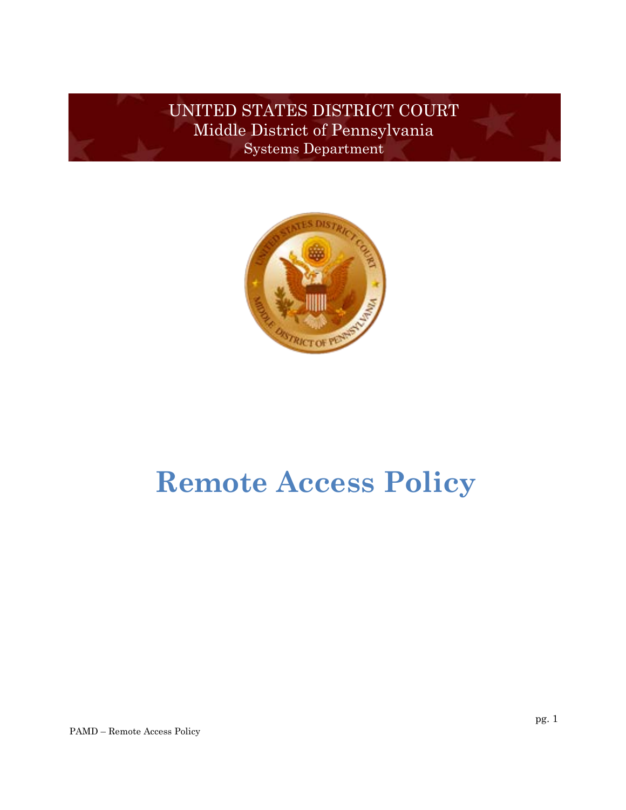UNITED STATES DISTRICT COURT Middle District of Pennsylvania Systems Department



# **Remote Access Policy**

PAMD – Remote Access Policy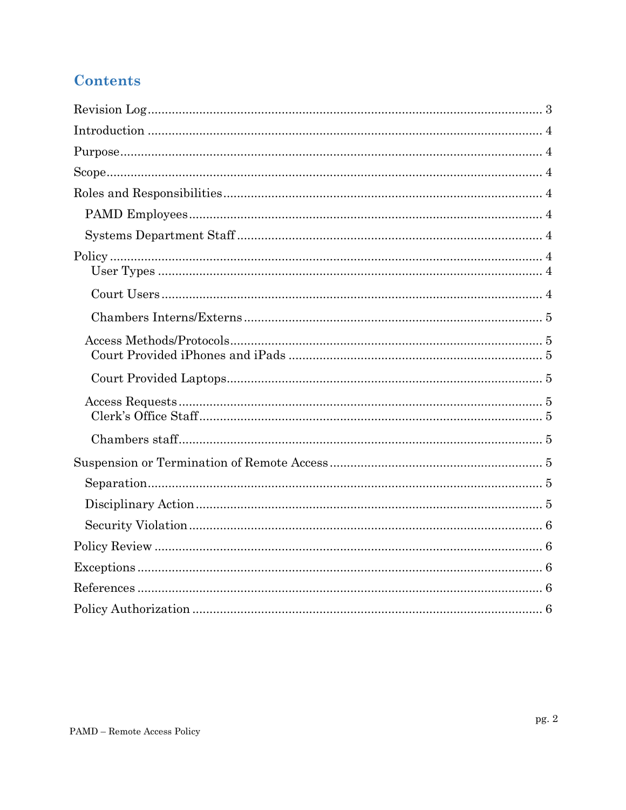## **Contents**

<span id="page-1-0"></span>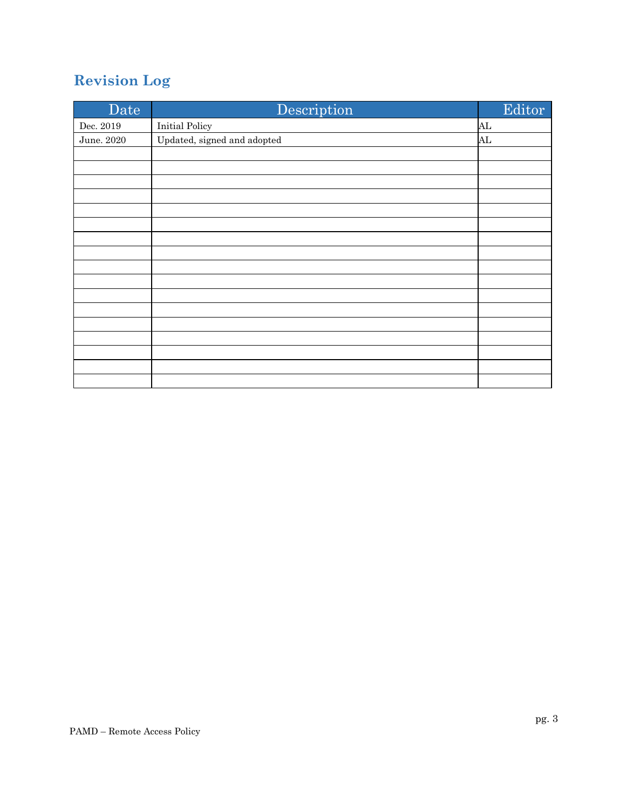# **Revision Log**

| Date       | Description                 | Editor |
|------------|-----------------------------|--------|
| Dec. 2019  | <b>Initial Policy</b>       | AL     |
| June. 2020 | Updated, signed and adopted | AL     |
|            |                             |        |
|            |                             |        |
|            |                             |        |
|            |                             |        |
|            |                             |        |
|            |                             |        |
|            |                             |        |
|            |                             |        |
|            |                             |        |
|            |                             |        |
|            |                             |        |
|            |                             |        |
|            |                             |        |
|            |                             |        |
|            |                             |        |
|            |                             |        |
|            |                             |        |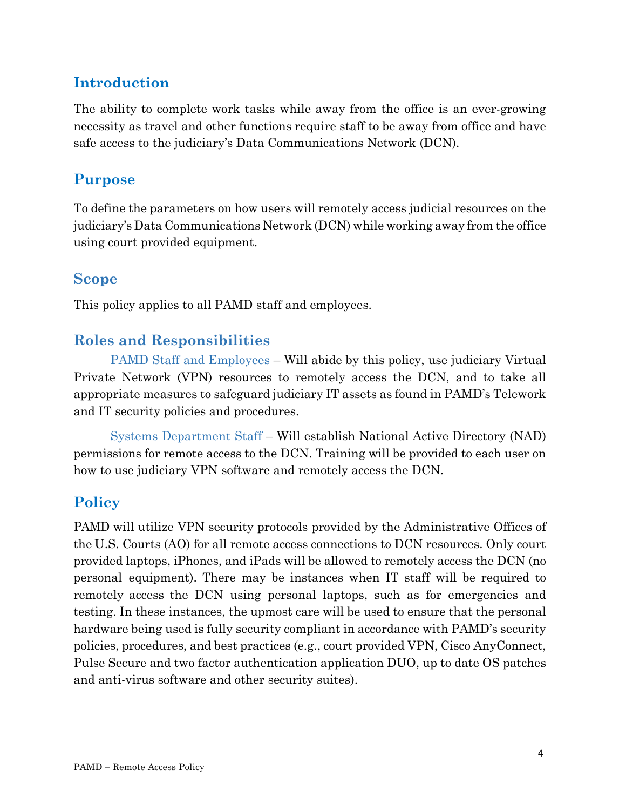## <span id="page-3-0"></span>**Introduction**

<span id="page-3-1"></span>The ability to complete work tasks while away from the office is an ever-growing necessity as travel and other functions require staff to be away from office and have safe access to the judiciary's Data Communications Network (DCN).

## <span id="page-3-2"></span>**Purpose**

To define the parameters on how users will remotely access judicial resources on the judiciary's Data Communications Network (DCN) while working away from the office using court provided equipment.

#### **Scope**

This policy applies to all PAMD staff and employees.

## **Roles and Responsibilities**

<span id="page-3-3"></span>PAMD Staff and Employees – Will abide by this policy, use judiciary Virtual Private Network (VPN) resources to remotely access the DCN, and to take all appropriate measures to safeguard judiciary IT assets as found in PAMD's Telework and IT security policies and procedures.

Systems Department Staff – Will establish National Active Directory (NAD) permissions for remote access to the DCN. Training will be provided to each user on how to use judiciary VPN software and remotely access the DCN.

## **Policy**

PAMD will utilize VPN security protocols provided by the Administrative Offices of the U.S. Courts (AO) for all remote access connections to DCN resources. Only court provided laptops, iPhones, and iPads will be allowed to remotely access the DCN (no personal equipment). There may be instances when IT staff will be required to remotely access the DCN using personal laptops, such as for emergencies and testing. In these instances, the upmost care will be used to ensure that the personal hardware being used is fully security compliant in accordance with PAMD's security policies, procedures, and best practices (e.g., court provided VPN, Cisco AnyConnect, Pulse Secure and two factor authentication application DUO, up to date OS patches and anti-virus software and other security suites).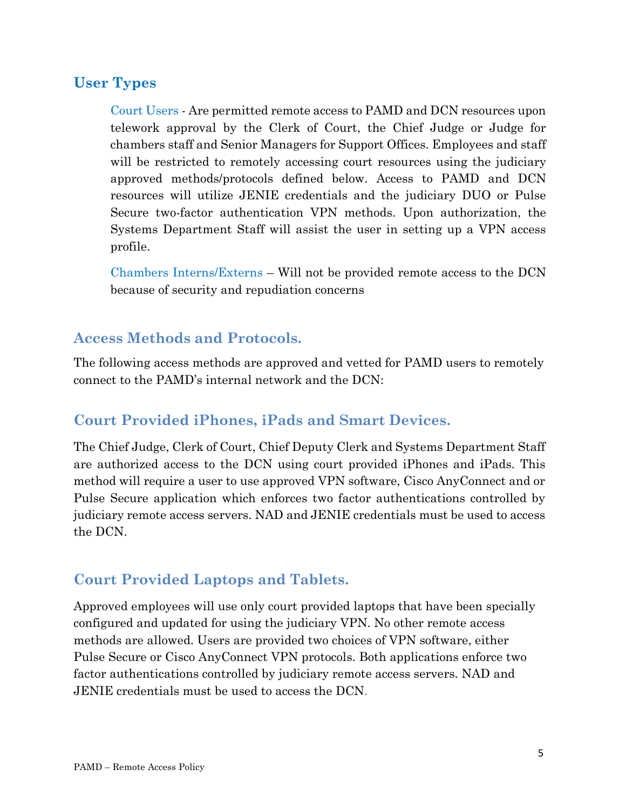#### **User Types**

Court Users - Are permitted remote access to PAMD and DCN resources upon telework approval by the Clerk of Court, the Chief Judge or Judge for chambers staff and Senior Managers for Support Offices. Employees and staff will be restricted to remotely accessing court resources using the judiciary approved methods/protocols defined below. Access to PAMD and DCN resources will utilize JENIE credentials and the judiciary DUO or Pulse Secure two-factor authentication VPN methods. Upon authorization, the Systems Department Staff will assist the user in setting up a VPN access profile.

Chambers Interns/Externs – Will not be provided remote access to the DCN because of security and repudiation concerns

#### **Access Methods and Protocols.**

The following access methods are approved and vetted for PAMD users to remotely connect to the PAMD's internal network and the DCN:

#### **Court Provided iPhones, iPads and Smart Devices.**

The Chief Judge, Clerk of Court, Chief Deputy Clerk and Systems Department Staff are authorized access to the DCN using court provided iPhones and iPads. This method will require a user to use approved VPN software, Cisco AnyConnect and or Pulse Secure application which enforces two factor authentications controlled by judiciary remote access servers. NAD and JENIE credentials must be used to access the DCN.

#### **Court Provided Laptops and Tablets.**

Approved employees will use only court provided laptops that have been specially configured and updated for using the judiciary VPN. No other remote access methods are allowed. Users are provided two choices of VPN software, either Pulse Secure or Cisco AnyConnect VPN protocols. Both applications enforce two factor authentications controlled by judiciary remote access servers. NAD and JENIE credentials must be used to access the DCN.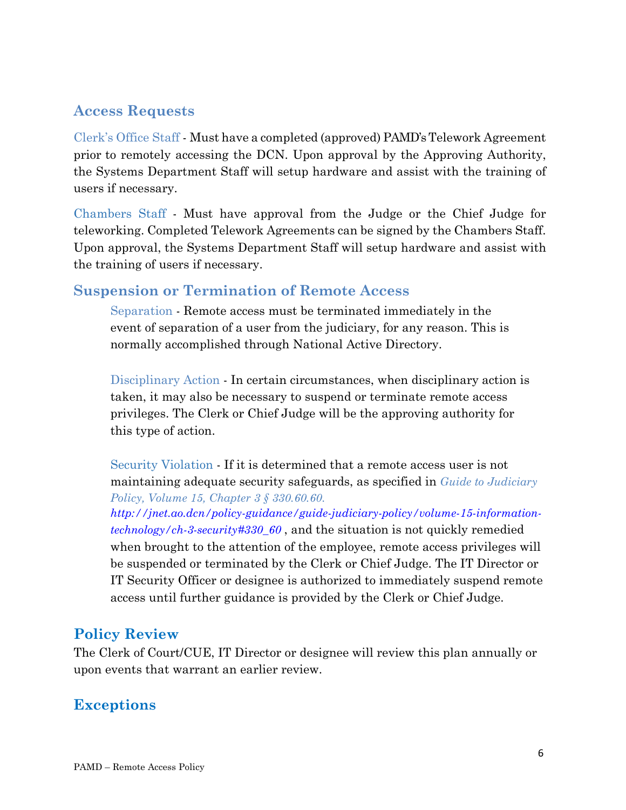### **Access Requests**

Clerk's Office Staff - Must have a completed (approved) PAMD'sTelework Agreement prior to remotely accessing the DCN. Upon approval by the Approving Authority, the Systems Department Staff will setup hardware and assist with the training of users if necessary.

Chambers Staff - Must have approval from the Judge or the Chief Judge for teleworking. Completed Telework Agreements can be signed by the Chambers Staff. Upon approval, the Systems Department Staff will setup hardware and assist with the training of users if necessary.

#### **Suspension or Termination of Remote Access**

Separation - Remote access must be terminated immediately in the event of separation of a user from the judiciary, for any reason. This is normally accomplished through National Active Directory.

Disciplinary Action - In certain circumstances, when disciplinary action is taken, it may also be necessary to suspend or terminate remote access privileges. The Clerk or Chief Judge will be the approving authority for this type of action.

Security Violation - If it is determined that a remote access user is not maintaining adequate security safeguards, as specified in *Guide to Judiciary Policy, Volume 15, Chapter 3 § 330.60.60.*

*[http://jnet.ao.dcn/policy-guidance/guide-judiciary-policy/volume-15-information](http://jnet.ao.dcn/policy-guidance/guide-judiciary-policy/volume-15-information-technology/ch-3-security#330_60)[technology/ch-3-security#330\\_60](http://jnet.ao.dcn/policy-guidance/guide-judiciary-policy/volume-15-information-technology/ch-3-security#330_60)* , and the situation is not quickly remedied when brought to the attention of the employee, remote access privileges will be suspended or terminated by the Clerk or Chief Judge. The IT Director or IT Security Officer or designee is authorized to immediately suspend remote access until further guidance is provided by the Clerk or Chief Judge.

#### **Policy Review**

The Clerk of Court/CUE, IT Director or designee will review this plan annually or upon events that warrant an earlier review.

#### **Exceptions**